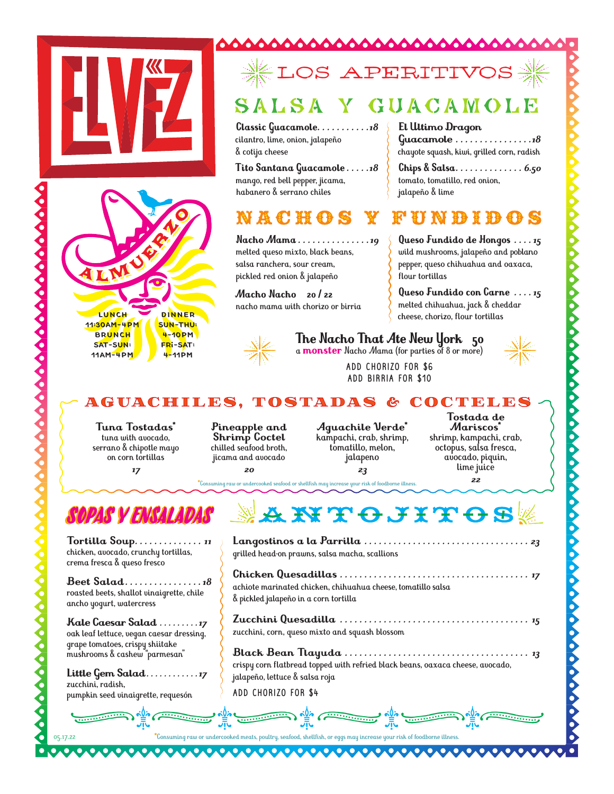



00000000000000

## LOS APERITIV

000000000000000000000000

#### GUACAMOLE SALSA

**Classic Guacamole** *. . . . . . . . . . 18* cilantro, lime, onion, jalapeño & cotija cheese

**Tito Santana Guacamole** *. . . . 18* mango, red bell pepper, jicama, habanero & serrano chiles

### ACHO

**Nacho Mama** *. . . . . . . . . . . . . . 19* melted queso mixto, black beans, salsa ranchera, sour cream, pickled red onion & jalapeño

**Macho Nacho 20 / 22** nacho mama with chorizo or birria



#### **The Nacho That Ate New York 50** a **monster** Nacho Mama (for parties of 8 or more)

flour tortillas

jalapeño & lime

**El Ultimo Dragon** 

tomato, tomatillo, red onion,

ADD CHORIZO FOR \$6 ADD BIRRIA FOR \$10



#### AGUACH I LES , TOSTADAS & COCTELES

**Tuna Tostadas\*** tuna with avocado, serrano & chipotle mayo on corn tortillas *17*

**Pineapple and Shrimp Coctel** chilled seafood broth, jicama and avocado

*20*

**Aguachile Verde\*** kampachi, crab, shrimp, tomatillo, melon, jalapeno *23*

**Tostada de Mariscos\*** shrimp, kampachi, crab, octopus, salsa fresca, avocado, piquin, lime juice *22*

**Queso Fundido de Hongos** *. . . 15* wild mushrooms, jalapeño and poblano pepper, queso chihuahua and oaxaca,

a di aliang

**Guacamole** *. . . . . . . . . . . . . . . 18* chayote squash, kiwi, grilled corn, radish **Chips & Salsa** *. . . . . . . . . . . . . . 6.50*

**Queso Fundido con Carne** *. . . 15* melted chihuahua, jack & cheddar cheese, chorizo, flour tortillas

**\***Consuming raw or undercooked seafood or shellfish may increase your risk of foodborne illness.



**Tortilla Soup** *. . . . . . . . . . . . . . <sup>11</sup>*chicken, avocado, crunchy tortillas, crema fresca & queso fresco

**Beet Salad** *. . . . . . . . . . . . . . . 18*  roasted beets, shallot vinaigrette, chile ancho yogurt, watercress

**Kale Caesar Salad** *. . . . . . . . 17*  oak leaf lettuce, vegan caesar dressing, grape tomatoes, crispy shiitake mushrooms & cashew "parmesan"

**Little Gem Salad** *. . . . . . . . . . . 17*  zucchini, radish, pumpkin seed vinaigrette, requesón

05.17.22

## **AKTOJITOS**

**Langostinos a la Parrilla** *. . . . . . . . . . . . . . . . . . . . . . . . . . . . . . . . . . 23* grilled head-on prawns, salsa macha, scallions **Chicken Quesadillas** *. . . . . . . . . . . . . . . . . . . . . . . . . . . . . . . . . . . . . . . 17* achiote marinated chicken, chihuahua cheese, tomatillo salsa & pickled jalapeño in a corn tortilla

**Zucchini Quesadilla** *. . . . . . . . . . . . . . . . . . . . . . . . . . . . . . . . . . . . . . . 15* zucchini, corn, queso mixto and squash blossom

**Black Bean Tlayuda** *. . . . . . . . . . . . . . . . . . . . . . . . . . . . . . . . . . . . . . 13* crispy corn flatbread topped with refried black beans, oaxaca cheese, avocado, jalapeño, lettuce & salsa roja

ADD CHORIZO FOR \$4

���� ���� � **Exercise Contract Contract Contract Contract Contract Contract Contract Contract Contract Contract Contract Contract Contract Contract Contract Contract Contract Contract Contract Contract Contract Contract Contract Contr**